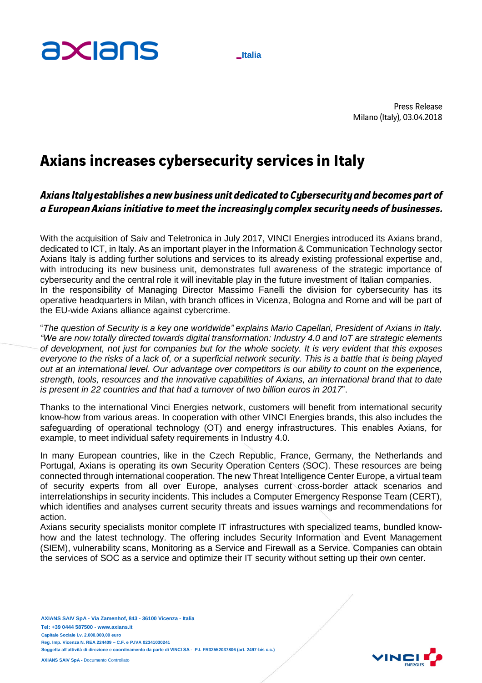## axians

**Italia**

**Press Release** Milano (Italy), 03.04.2018

## Axians increases cybersecurity services in Italy

Axians Italy establishes a new business unit dedicated to Cybersecurity and becomes part of a European Axians initiative to meet the increasingly complex security needs of businesses.

With the acquisition of Saiv and Teletronica in July 2017, VINCI Energies introduced its Axians brand, dedicated to ICT, in Italy. As an important player in the Information & Communication Technology sector Axians Italy is adding further solutions and services to its already existing professional expertise and, with introducing its new business unit, demonstrates full awareness of the strategic importance of cybersecurity and the central role it will inevitable play in the future investment of Italian companies. In the responsibility of Managing Director Massimo Fanelli the division for cybersecurity has its operative headquarters in Milan, with branch offices in Vicenza, Bologna and Rome and will be part of the EU-wide Axians alliance against cybercrime.

"*The question of Security is a key one worldwide" explains Mario Capellari, President of Axians in Italy. "We are now totally directed towards digital transformation: Industry 4.0 and IoT are strategic elements* of development, not just for companies but for the whole society. It is very evident that this exposes everyone to the risks of a lack of, or a superficial network security. This is a battle that is being played *out at an international level. Our advantage over competitors is our ability to count on the experience, strength, tools, resources and the innovative capabilities of Axians, an international brand that to date is present in 22 countries and that had a turnover of two billion euros in 2017*".

Thanks to the international Vinci Energies network, customers will benefit from international security know-how from various areas. In cooperation with other VINCI Energies brands, this also includes the safeguarding of operational technology (OT) and energy infrastructures. This enables Axians, for example, to meet individual safety requirements in Industry 4.0.

In many European countries, like in the Czech Republic, France, Germany, the Netherlands and Portugal, Axians is operating its own Security Operation Centers (SOC). These resources are being connected through international cooperation. The new Threat Intelligence Center Europe, a virtual team of security experts from all over Europe, analyses current cross-border attack scenarios and interrelationships in security incidents. This includes a Computer Emergency Response Team (CERT), which identifies and analyses current security threats and issues warnings and recommendations for action.

Axians security specialists monitor complete IT infrastructures with specialized teams, bundled knowhow and the latest technology. The offering includes Security Information and Event Management (SIEM), vulnerability scans, Monitoring as a Service and Firewall as a Service. Companies can obtain the services of SOC as a service and optimize their IT security without setting up their own center.